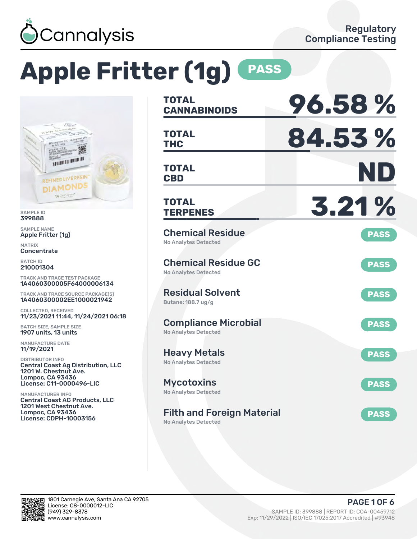

# **Apple Fritter (1g) PASS**



SAMPLE ID 399888

SAMPLE NAME Apple Fritter (1g)

MATRIX Concentrate

BATCH ID 210001304

TRACK AND TRACE TEST PACKAGE 1A4060300005F64000006134

TRACK AND TRACE SOURCE PACKAGE(S) 1A4060300002EE1000021942

COLLECTED, RECEIVED 11/23/2021 11:44, 11/24/2021 06:18

BATCH SIZE, SAMPLE SIZE 1907 units, 13 units

MANUFACTURE DATE 11/19/2021

DISTRIBUTOR INFO Central Coast Ag Distribution, LLC 1201 W. Chestnut Ave. Lompoc, CA 93436 License: C11-0000496-LIC

MANUFACTURER INFO Central Coast AG Products, LLC 1201 West Chestnut Ave. Lompoc, CA 93436 License: CDPH-10003156

| <b>TOTAL</b><br><b>CANNABINOIDS</b>                        | 96.58%      |
|------------------------------------------------------------|-------------|
| <b>TOTAL</b><br>THC                                        | 84.53%      |
| <b>TOTAL</b><br><b>CBD</b>                                 | ND          |
| <b>TOTAL</b><br><b>TERPENES</b>                            | 3.21%       |
| <b>Chemical Residue</b><br><b>No Analytes Detected</b>     | <b>PASS</b> |
| <b>Chemical Residue GC</b><br><b>No Analytes Detected</b>  | <b>PASS</b> |
| <b>Residual Solvent</b><br>Butane: 188.7 ug/g              | <b>PASS</b> |
| <b>Compliance Microbial</b><br><b>No Analytes Detected</b> | <b>PASS</b> |
| <b>Heavy Metals</b><br><b>No Analytes Detected</b>         | <b>PASS</b> |
| <b>Mycotoxins</b><br>No Analytes Detected                  | <b>PASS</b> |
| <b>Filth and Foreign Material</b>                          | <b>PASS</b> |

No Analytes Detected

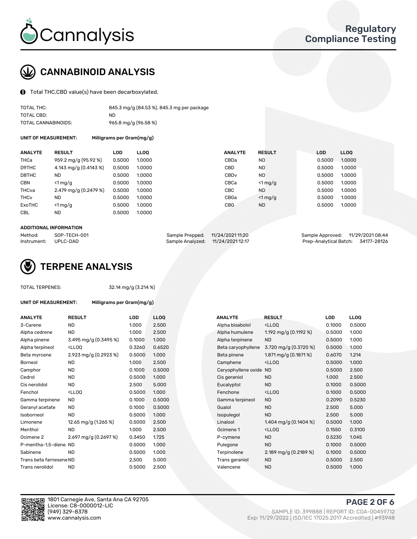

## CANNABINOID ANALYSIS

Total THC,CBD value(s) have been decarboxylated.

| TOTAL THC:          | 845.3 mg/g (84.53 %), 845.3 mg per package |
|---------------------|--------------------------------------------|
| TOTAL CBD:          | ND.                                        |
| TOTAL CANNABINOIDS: | $965.8$ mg/g (96.58 %)                     |

UNIT OF MEASUREMENT: Milligrams per Gram(mg/g)

| <b>ANALYTE</b>         | <b>RESULT</b>         | <b>LOD</b> | <b>LLOO</b> | <b>ANALYTE</b>   | <b>RESULT</b> | <b>LOD</b> | <b>LLOO</b> |
|------------------------|-----------------------|------------|-------------|------------------|---------------|------------|-------------|
| THCa                   | 959.2 mg/g (95.92 %)  | 0.5000     | 1.0000      | CBDa             | <b>ND</b>     | 0.5000     | 1.0000      |
| D9THC                  | 4.143 mg/g (0.4143 %) | 0.5000     | 1.0000      | CBD              | <b>ND</b>     | 0.5000     | 1.0000      |
| D8THC                  | <b>ND</b>             | 0.5000     | 1.0000      | CBD <sub>v</sub> | <b>ND</b>     | 0.5000     | 1.0000      |
| <b>CBN</b>             | $<$ 1 mg/g            | 0.5000     | 1.0000      | CBCa             | $<$ 1 mg/g    | 0.5000     | 1.0000      |
| THCva                  | 2.479 mg/g (0.2479 %) | 0.5000     | 1.0000      | <b>CBC</b>       | <b>ND</b>     | 0.5000     | 1.0000      |
| <b>THC<sub>v</sub></b> | <b>ND</b>             | 0.5000     | 1.0000      | CBGa             | $<$ 1 mg/g    | 0.5000     | 1.0000      |
| <b>ExoTHC</b>          | $<$ 1 mg/g            | 0.5000     | 1.0000      | <b>CBG</b>       | <b>ND</b>     | 0.5000     | 1.0000      |
| <b>CBL</b>             | <b>ND</b>             | 0.5000     | 1.0000      |                  |               |            |             |
|                        |                       |            |             |                  |               |            |             |

#### ADDITIONAL INFORMATION

| Method:              | SOP-TECH-001 | Sample Prepped: 11/24/2021 11:20  | Sample Approved: 11/29/2021 08:44  |  |
|----------------------|--------------|-----------------------------------|------------------------------------|--|
| Instrument: UPLC-DAD |              | Sample Analyzed: 11/24/2021 12:17 | Prep-Analytical Batch: 34177-28126 |  |



#### TOTAL TERPENES: 32.14 mg/g (3.214 %)

| UNIT OF MEASUREMENT: | Milligrams per Gram(mg/g) |
|----------------------|---------------------------|
|----------------------|---------------------------|

| 2.500<br>0.1000<br>3-Carene<br>ND<br>1.000<br>Alpha bisabolol<br><ll0q<br>ND.<br/>1.000<br/>2.500<br/>1.192 mg/g <math>(0.1192 \%)</math><br/>0.5000<br/>Alpha humulene<br/>Alpha cedrene<br/>3.495 mg/g (0.3495 %)<br/>0.1000<br/>1.000<br/><b>ND</b><br/>0.5000<br/>Alpha pinene<br/>Alpha terpinene<br/><lloq<br>0.3260<br/>0.6520<br/>3.720 mg/g (0.3720 %)<br/>0.5000<br/>Alpha terpineol<br/>Beta caryophyllene<br/>2.923 mg/g (0.2923 %)<br/>1.871 mg/g <math>(0.1871\%)</math><br/>0.5000<br/>1.000<br/>Beta pinene<br/>0.6070<br/>Beta myrcene<br/>1.000<br/>2.500<br/><lloq<br>ND.<br/>0.5000<br/><b>Borneol</b><br/>Camphene<br/>ND.<br/>0.1000<br/>0.5000<br/>0.5000<br/>Camphor<br/>Caryophyllene oxide ND<br/>1.000<br/>1.000<br/>Cedrol<br/>ND.<br/>0.5000<br/><b>ND</b><br/>Cis geraniol<br/><b>ND</b><br/>2.500<br/>5.000<br/>Eucalyptol<br/><b>ND</b><br/>0.1000<br/>Cis nerolidol<br/><lloq<br>1.000<br/>0.1000<br/>Fenchol<br/>0.5000<br/>Fenchone<br/><ll0q<br>0.5000<br/>ND.<br/>0.1000<br/><b>ND</b><br/>0.2090<br/>Gamma terpinene<br/>Gamma terpineol<br/><b>ND</b><br/>0.5000<br/>0.1000<br/>Guaiol<br/><b>ND</b><br/>2.500<br/>Geranyl acetate<br/><b>ND</b><br/>0.5000<br/>1.000<br/><b>ND</b><br/>2.500<br/>Isoborneol<br/>Isopulegol<br/>12.65 mg/g (1.265 %)<br/>2.500<br/>1.404 mg/g <math>(0.1404\%)</math><br/>0.5000<br/>Linalool<br/>0.5000<br/>Limonene<br/>1.000<br/>2.500<br/><ll0q<br>0.1550<br/>Menthol<br/><b>ND</b><br/>Ocimene 1<br/>2.697 mg/g (0.2697 %)<br/>0.3450<br/>1.725<br/><b>ND</b><br/>0.5230<br/>Ocimene<sub>2</sub><br/>P-cymene<br/>0.5000<br/>1.000<br/><b>ND</b><br/>0.1000<br/>P-mentha-1,5-diene ND<br/>Pulegone<br/>Sabinene<br/><b>ND</b><br/>0.5000<br/>1.000<br/>2.189 mg/g (0.2189 %)<br/>0.1000<br/>Terpinolene<br/>5.000<br/>0.5000<br/>Trans beta farnesene ND<br/>2.500<br/>Trans geraniol<br/><b>ND</b><br/><b>ND</b><br/>0.5000<br/>2.500<br/><b>ND</b><br/>0.5000<br/>Trans nerolidol<br/>Valencene</ll0q<br></ll0q<br></lloq<br></lloq<br></lloq<br></ll0q<br> | <b>ANALYTE</b> | <b>RESULT</b> | LOD | <b>LLOQ</b> | <b>ANALYTE</b> | <b>RESULT</b> | LOD | <b>LLOQ</b> |
|-------------------------------------------------------------------------------------------------------------------------------------------------------------------------------------------------------------------------------------------------------------------------------------------------------------------------------------------------------------------------------------------------------------------------------------------------------------------------------------------------------------------------------------------------------------------------------------------------------------------------------------------------------------------------------------------------------------------------------------------------------------------------------------------------------------------------------------------------------------------------------------------------------------------------------------------------------------------------------------------------------------------------------------------------------------------------------------------------------------------------------------------------------------------------------------------------------------------------------------------------------------------------------------------------------------------------------------------------------------------------------------------------------------------------------------------------------------------------------------------------------------------------------------------------------------------------------------------------------------------------------------------------------------------------------------------------------------------------------------------------------------------------------------------------------------------------------------------------------------------------------------------------------------------------------------------------------------------------------------------------------------------------------------------|----------------|---------------|-----|-------------|----------------|---------------|-----|-------------|
|                                                                                                                                                                                                                                                                                                                                                                                                                                                                                                                                                                                                                                                                                                                                                                                                                                                                                                                                                                                                                                                                                                                                                                                                                                                                                                                                                                                                                                                                                                                                                                                                                                                                                                                                                                                                                                                                                                                                                                                                                                           |                |               |     |             |                |               |     | 0.500       |
|                                                                                                                                                                                                                                                                                                                                                                                                                                                                                                                                                                                                                                                                                                                                                                                                                                                                                                                                                                                                                                                                                                                                                                                                                                                                                                                                                                                                                                                                                                                                                                                                                                                                                                                                                                                                                                                                                                                                                                                                                                           |                |               |     |             |                |               |     | 1.000       |
|                                                                                                                                                                                                                                                                                                                                                                                                                                                                                                                                                                                                                                                                                                                                                                                                                                                                                                                                                                                                                                                                                                                                                                                                                                                                                                                                                                                                                                                                                                                                                                                                                                                                                                                                                                                                                                                                                                                                                                                                                                           |                |               |     |             |                |               |     | 1.000       |
|                                                                                                                                                                                                                                                                                                                                                                                                                                                                                                                                                                                                                                                                                                                                                                                                                                                                                                                                                                                                                                                                                                                                                                                                                                                                                                                                                                                                                                                                                                                                                                                                                                                                                                                                                                                                                                                                                                                                                                                                                                           |                |               |     |             |                |               |     | 1.000       |
|                                                                                                                                                                                                                                                                                                                                                                                                                                                                                                                                                                                                                                                                                                                                                                                                                                                                                                                                                                                                                                                                                                                                                                                                                                                                                                                                                                                                                                                                                                                                                                                                                                                                                                                                                                                                                                                                                                                                                                                                                                           |                |               |     |             |                |               |     | 1.214       |
|                                                                                                                                                                                                                                                                                                                                                                                                                                                                                                                                                                                                                                                                                                                                                                                                                                                                                                                                                                                                                                                                                                                                                                                                                                                                                                                                                                                                                                                                                                                                                                                                                                                                                                                                                                                                                                                                                                                                                                                                                                           |                |               |     |             |                |               |     | 1.000       |
|                                                                                                                                                                                                                                                                                                                                                                                                                                                                                                                                                                                                                                                                                                                                                                                                                                                                                                                                                                                                                                                                                                                                                                                                                                                                                                                                                                                                                                                                                                                                                                                                                                                                                                                                                                                                                                                                                                                                                                                                                                           |                |               |     |             |                |               |     | 2.500       |
|                                                                                                                                                                                                                                                                                                                                                                                                                                                                                                                                                                                                                                                                                                                                                                                                                                                                                                                                                                                                                                                                                                                                                                                                                                                                                                                                                                                                                                                                                                                                                                                                                                                                                                                                                                                                                                                                                                                                                                                                                                           |                |               |     |             |                |               |     | 2.500       |
|                                                                                                                                                                                                                                                                                                                                                                                                                                                                                                                                                                                                                                                                                                                                                                                                                                                                                                                                                                                                                                                                                                                                                                                                                                                                                                                                                                                                                                                                                                                                                                                                                                                                                                                                                                                                                                                                                                                                                                                                                                           |                |               |     |             |                |               |     | 0.500       |
|                                                                                                                                                                                                                                                                                                                                                                                                                                                                                                                                                                                                                                                                                                                                                                                                                                                                                                                                                                                                                                                                                                                                                                                                                                                                                                                                                                                                                                                                                                                                                                                                                                                                                                                                                                                                                                                                                                                                                                                                                                           |                |               |     |             |                |               |     | 0.500       |
|                                                                                                                                                                                                                                                                                                                                                                                                                                                                                                                                                                                                                                                                                                                                                                                                                                                                                                                                                                                                                                                                                                                                                                                                                                                                                                                                                                                                                                                                                                                                                                                                                                                                                                                                                                                                                                                                                                                                                                                                                                           |                |               |     |             |                |               |     | 0.523       |
|                                                                                                                                                                                                                                                                                                                                                                                                                                                                                                                                                                                                                                                                                                                                                                                                                                                                                                                                                                                                                                                                                                                                                                                                                                                                                                                                                                                                                                                                                                                                                                                                                                                                                                                                                                                                                                                                                                                                                                                                                                           |                |               |     |             |                |               |     | 5.000       |
|                                                                                                                                                                                                                                                                                                                                                                                                                                                                                                                                                                                                                                                                                                                                                                                                                                                                                                                                                                                                                                                                                                                                                                                                                                                                                                                                                                                                                                                                                                                                                                                                                                                                                                                                                                                                                                                                                                                                                                                                                                           |                |               |     |             |                |               |     | 5.000       |
|                                                                                                                                                                                                                                                                                                                                                                                                                                                                                                                                                                                                                                                                                                                                                                                                                                                                                                                                                                                                                                                                                                                                                                                                                                                                                                                                                                                                                                                                                                                                                                                                                                                                                                                                                                                                                                                                                                                                                                                                                                           |                |               |     |             |                |               |     | 1.000       |
|                                                                                                                                                                                                                                                                                                                                                                                                                                                                                                                                                                                                                                                                                                                                                                                                                                                                                                                                                                                                                                                                                                                                                                                                                                                                                                                                                                                                                                                                                                                                                                                                                                                                                                                                                                                                                                                                                                                                                                                                                                           |                |               |     |             |                |               |     | 0.310       |
|                                                                                                                                                                                                                                                                                                                                                                                                                                                                                                                                                                                                                                                                                                                                                                                                                                                                                                                                                                                                                                                                                                                                                                                                                                                                                                                                                                                                                                                                                                                                                                                                                                                                                                                                                                                                                                                                                                                                                                                                                                           |                |               |     |             |                |               |     | 1.045       |
|                                                                                                                                                                                                                                                                                                                                                                                                                                                                                                                                                                                                                                                                                                                                                                                                                                                                                                                                                                                                                                                                                                                                                                                                                                                                                                                                                                                                                                                                                                                                                                                                                                                                                                                                                                                                                                                                                                                                                                                                                                           |                |               |     |             |                |               |     | 0.500       |
|                                                                                                                                                                                                                                                                                                                                                                                                                                                                                                                                                                                                                                                                                                                                                                                                                                                                                                                                                                                                                                                                                                                                                                                                                                                                                                                                                                                                                                                                                                                                                                                                                                                                                                                                                                                                                                                                                                                                                                                                                                           |                |               |     |             |                |               |     | 0.500       |
|                                                                                                                                                                                                                                                                                                                                                                                                                                                                                                                                                                                                                                                                                                                                                                                                                                                                                                                                                                                                                                                                                                                                                                                                                                                                                                                                                                                                                                                                                                                                                                                                                                                                                                                                                                                                                                                                                                                                                                                                                                           |                |               |     |             |                |               |     | 2.500       |
|                                                                                                                                                                                                                                                                                                                                                                                                                                                                                                                                                                                                                                                                                                                                                                                                                                                                                                                                                                                                                                                                                                                                                                                                                                                                                                                                                                                                                                                                                                                                                                                                                                                                                                                                                                                                                                                                                                                                                                                                                                           |                |               |     |             |                |               |     | 1.000       |

| ANALYTE                 | <b>RESULT</b>                                                                                                                             | <b>LOD</b> | <b>LLOQ</b> | <b>ANALYTE</b>         | <b>RESULT</b>                                       | <b>LOD</b> | <b>LLOQ</b> |
|-------------------------|-------------------------------------------------------------------------------------------------------------------------------------------|------------|-------------|------------------------|-----------------------------------------------------|------------|-------------|
| 3-Carene                | <b>ND</b>                                                                                                                                 | 1.000      | 2.500       | Alpha bisabolol        | <lloq< td=""><td>0.1000</td><td>0.5000</td></lloq<> | 0.1000     | 0.5000      |
| Alpha cedrene           | ND                                                                                                                                        | 1.000      | 2.500       | Alpha humulene         | 1.192 mg/g (0.1192 %)                               | 0.5000     | 1.000       |
| Alpha pinene            | 3.495 mg/g (0.3495 %)                                                                                                                     | 0.1000     | 1.000       | Alpha terpinene        | <b>ND</b>                                           | 0.5000     | 1.000       |
| Alpha terpineol         | <lloq< td=""><td>0.3260</td><td>0.6520</td><td>Beta caryophyllene</td><td>3.720 mg/g (0.3720 %)</td><td>0.5000</td><td>1.000</td></lloq<> | 0.3260     | 0.6520      | Beta caryophyllene     | 3.720 mg/g (0.3720 %)                               | 0.5000     | 1.000       |
| Beta myrcene            | 2.923 mg/g (0.2923 %)                                                                                                                     | 0.5000     | 1.000       | Beta pinene            | 1.871 mg/g $(0.1871\%)$                             | 0.6070     | 1.214       |
| Borneol                 | <b>ND</b>                                                                                                                                 | 1.000      | 2.500       | Camphene               | <lloq< td=""><td>0.5000</td><td>1.000</td></lloq<>  | 0.5000     | 1.000       |
| Camphor                 | <b>ND</b>                                                                                                                                 | 0.1000     | 0.5000      | Caryophyllene oxide ND |                                                     | 0.5000     | 2.500       |
| Cedrol                  | <b>ND</b>                                                                                                                                 | 0.5000     | 1.000       | Cis geraniol           | <b>ND</b>                                           | 1.000      | 2.500       |
| Cis nerolidol           | <b>ND</b>                                                                                                                                 | 2.500      | 5.000       | Eucalyptol             | <b>ND</b>                                           | 0.1000     | 0.5000      |
| Fenchol                 | <lloq< td=""><td>0.5000</td><td>1.000</td><td>Fenchone</td><td><ll0q< td=""><td>0.1000</td><td>0.5000</td></ll0q<></td></lloq<>           | 0.5000     | 1.000       | Fenchone               | <ll0q< td=""><td>0.1000</td><td>0.5000</td></ll0q<> | 0.1000     | 0.5000      |
| Gamma terpinene         | <b>ND</b>                                                                                                                                 | 0.1000     | 0.5000      | Gamma terpineol        | <b>ND</b>                                           | 0.2090     | 0.5230      |
| Geranyl acetate         | <b>ND</b>                                                                                                                                 | 0.1000     | 0.5000      | Guaiol                 | <b>ND</b>                                           | 2.500      | 5.000       |
| Isoborneol              | <b>ND</b>                                                                                                                                 | 0.5000     | 1.000       | Isopulegol             | <b>ND</b>                                           | 2.500      | 5.000       |
| Limonene                | 12.65 mg/g $(1.265\%)$                                                                                                                    | 0.5000     | 2.500       | Linalool               | 1.404 mg/g $(0.1404\%)$                             | 0.5000     | 1.000       |
| Menthol                 | <b>ND</b>                                                                                                                                 | 1.000      | 2.500       | Ocimene 1              | <lloq< td=""><td>0.1550</td><td>0.3100</td></lloq<> | 0.1550     | 0.3100      |
| Ocimene 2               | 2.697 mg/g (0.2697 %)                                                                                                                     | 0.3450     | 1.725       | P-cymene               | <b>ND</b>                                           | 0.5230     | 1.045       |
| P-mentha-1,5-diene ND   |                                                                                                                                           | 0.5000     | 1.000       | Pulegone               | <b>ND</b>                                           | 0.1000     | 0.5000      |
| Sabinene                | <b>ND</b>                                                                                                                                 | 0.5000     | 1.000       | Terpinolene            | 2.189 mg/g $(0.2189\%)$                             | 0.1000     | 0.5000      |
| Trans beta farnesene ND |                                                                                                                                           | 2.500      | 5.000       | Trans geraniol         | <b>ND</b>                                           | 0.5000     | 2.500       |
| Trans nerolidol         | <b>ND</b>                                                                                                                                 | 0.5000     | 2.500       | Valencene              | <b>ND</b>                                           | 0.5000     | 1.000       |

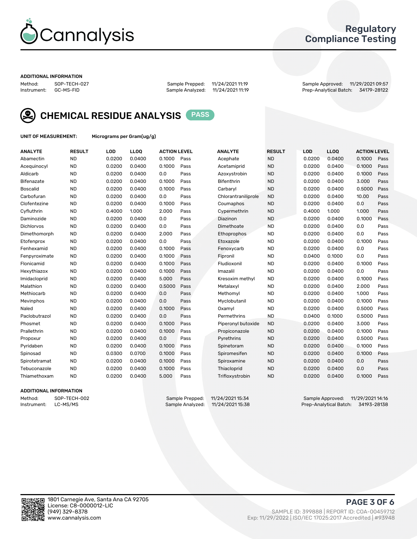

## Regulatory Compliance Testing

#### ADDITIONAL INFORMATION

Method: SOP-TECH-027 Sample Prepped: 11/24/2021 11:19 Sample Approved: 11/29/2021 09:57 Prep-Analytical Batch: 34179-28122



CHEMICAL RESIDUE ANALYSIS PASS

UNIT OF MEASUREMENT: Micrograms per Gram(ug/g)

| <b>ANALYTE</b>    | <b>RESULT</b> | LOD    | LL <sub>OO</sub> | <b>ACTION LEVEL</b> |      | <b>ANALYTE</b>      | <b>RESULT</b> | <b>LOD</b> | LL <sub>OO</sub> | <b>ACTION LEVEL</b> |      |
|-------------------|---------------|--------|------------------|---------------------|------|---------------------|---------------|------------|------------------|---------------------|------|
| Abamectin         | <b>ND</b>     | 0.0200 | 0.0400           | 0.1000              | Pass | Acephate            | <b>ND</b>     | 0.0200     | 0.0400           | 0.1000              | Pass |
| Acequinocyl       | <b>ND</b>     | 0.0200 | 0.0400           | 0.1000              | Pass | Acetamiprid         | <b>ND</b>     | 0.0200     | 0.0400           | 0.1000              | Pass |
| Aldicarb          | <b>ND</b>     | 0.0200 | 0.0400           | 0.0                 | Pass | Azoxystrobin        | <b>ND</b>     | 0.0200     | 0.0400           | 0.1000              | Pass |
| Bifenazate        | <b>ND</b>     | 0.0200 | 0.0400           | 0.1000              | Pass | <b>Bifenthrin</b>   | <b>ND</b>     | 0.0200     | 0.0400           | 3.000               | Pass |
| <b>Boscalid</b>   | <b>ND</b>     | 0.0200 | 0.0400           | 0.1000              | Pass | Carbaryl            | <b>ND</b>     | 0.0200     | 0.0400           | 0.5000              | Pass |
| Carbofuran        | <b>ND</b>     | 0.0200 | 0.0400           | 0.0                 | Pass | Chlorantraniliprole | <b>ND</b>     | 0.0200     | 0.0400           | 10.00               | Pass |
| Clofentezine      | <b>ND</b>     | 0.0200 | 0.0400           | 0.1000              | Pass | Coumaphos           | <b>ND</b>     | 0.0200     | 0.0400           | 0.0                 | Pass |
| Cyfluthrin        | <b>ND</b>     | 0.4000 | 1.000            | 2.000               | Pass | Cypermethrin        | <b>ND</b>     | 0.4000     | 1.000            | 1.000               | Pass |
| Daminozide        | <b>ND</b>     | 0.0200 | 0.0400           | 0.0                 | Pass | Diazinon            | <b>ND</b>     | 0.0200     | 0.0400           | 0.1000              | Pass |
| <b>Dichlorvos</b> | <b>ND</b>     | 0.0200 | 0.0400           | 0.0                 | Pass | Dimethoate          | <b>ND</b>     | 0.0200     | 0.0400           | 0.0                 | Pass |
| Dimethomorph      | <b>ND</b>     | 0.0200 | 0.0400           | 2.000               | Pass | Ethoprophos         | <b>ND</b>     | 0.0200     | 0.0400           | 0.0                 | Pass |
| Etofenprox        | <b>ND</b>     | 0.0200 | 0.0400           | 0.0                 | Pass | Etoxazole           | <b>ND</b>     | 0.0200     | 0.0400           | 0.1000              | Pass |
| Fenhexamid        | <b>ND</b>     | 0.0200 | 0.0400           | 0.1000              | Pass | Fenoxycarb          | <b>ND</b>     | 0.0200     | 0.0400           | 0.0                 | Pass |
| Fenpyroximate     | <b>ND</b>     | 0.0200 | 0.0400           | 0.1000              | Pass | Fipronil            | <b>ND</b>     | 0.0400     | 0.1000           | 0.0                 | Pass |
| Flonicamid        | <b>ND</b>     | 0.0200 | 0.0400           | 0.1000              | Pass | Fludioxonil         | <b>ND</b>     | 0.0200     | 0.0400           | 0.1000              | Pass |
| Hexythiazox       | <b>ND</b>     | 0.0200 | 0.0400           | 0.1000              | Pass | Imazalil            | <b>ND</b>     | 0.0200     | 0.0400           | 0.0                 | Pass |
| Imidacloprid      | <b>ND</b>     | 0.0200 | 0.0400           | 5.000               | Pass | Kresoxim methyl     | <b>ND</b>     | 0.0200     | 0.0400           | 0.1000              | Pass |
| Malathion         | <b>ND</b>     | 0.0200 | 0.0400           | 0.5000              | Pass | Metalaxyl           | <b>ND</b>     | 0.0200     | 0.0400           | 2.000               | Pass |
| Methiocarb        | <b>ND</b>     | 0.0200 | 0.0400           | 0.0                 | Pass | Methomyl            | <b>ND</b>     | 0.0200     | 0.0400           | 1.000               | Pass |
| Mevinphos         | <b>ND</b>     | 0.0200 | 0.0400           | 0.0                 | Pass | Myclobutanil        | <b>ND</b>     | 0.0200     | 0.0400           | 0.1000              | Pass |
| Naled             | <b>ND</b>     | 0.0200 | 0.0400           | 0.1000              | Pass | Oxamyl              | <b>ND</b>     | 0.0200     | 0.0400           | 0.5000              | Pass |
| Paclobutrazol     | <b>ND</b>     | 0.0200 | 0.0400           | 0.0                 | Pass | Permethrins         | <b>ND</b>     | 0.0400     | 0.1000           | 0.5000              | Pass |
| Phosmet           | <b>ND</b>     | 0.0200 | 0.0400           | 0.1000              | Pass | Piperonyl butoxide  | <b>ND</b>     | 0.0200     | 0.0400           | 3.000               | Pass |
| Prallethrin       | <b>ND</b>     | 0.0200 | 0.0400           | 0.1000              | Pass | Propiconazole       | <b>ND</b>     | 0.0200     | 0.0400           | 0.1000              | Pass |
| Propoxur          | <b>ND</b>     | 0.0200 | 0.0400           | 0.0                 | Pass | Pyrethrins          | <b>ND</b>     | 0.0200     | 0.0400           | 0.5000              | Pass |
| Pyridaben         | <b>ND</b>     | 0.0200 | 0.0400           | 0.1000              | Pass | Spinetoram          | <b>ND</b>     | 0.0200     | 0.0400           | 0.1000              | Pass |
| Spinosad          | <b>ND</b>     | 0.0300 | 0.0700           | 0.1000              | Pass | Spiromesifen        | <b>ND</b>     | 0.0200     | 0.0400           | 0.1000              | Pass |
| Spirotetramat     | <b>ND</b>     | 0.0200 | 0.0400           | 0.1000              | Pass | Spiroxamine         | <b>ND</b>     | 0.0200     | 0.0400           | 0.0                 | Pass |
| Tebuconazole      | <b>ND</b>     | 0.0200 | 0.0400           | 0.1000              | Pass | Thiacloprid         | <b>ND</b>     | 0.0200     | 0.0400           | 0.0                 | Pass |
| Thiamethoxam      | <b>ND</b>     | 0.0200 | 0.0400           | 5.000               | Pass | Trifloxystrobin     | <b>ND</b>     | 0.0200     | 0.0400           | 0.1000              | Pass |

#### ADDITIONAL INFORMATION

Method: SOP-TECH-002 Sample Prepped: 11/24/2021 15:34 Sample Approved: 11/29/2021 14:16<br>Instrument: LC-MS/MS Sample Analyzed: 11/24/2021 15:38 Prep-Analytical Batch: 34193-28138 Prep-Analytical Batch: 34193-28138

PAGE 3 OF 6

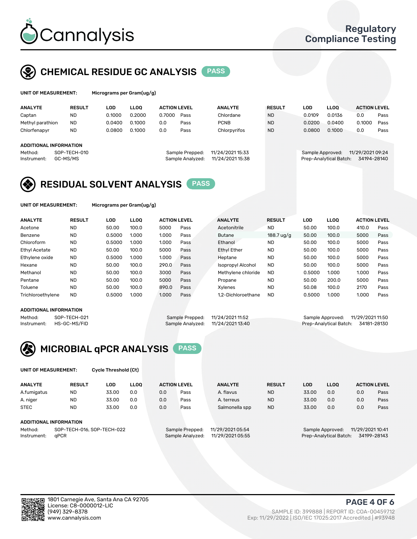

## CHEMICAL RESIDUE GC ANALYSIS PASS

| UNIT OF MEASUREMENT: |               | Micrograms per Gram $(uq/q)$ |             |                     |      |                |               |        |             |                     |      |
|----------------------|---------------|------------------------------|-------------|---------------------|------|----------------|---------------|--------|-------------|---------------------|------|
| <b>ANALYTE</b>       | <b>RESULT</b> | LOD.                         | <b>LLOO</b> | <b>ACTION LEVEL</b> |      | <b>ANALYTE</b> | <b>RESULT</b> | LOD    | <b>LLOO</b> | <b>ACTION LEVEL</b> |      |
| Captan               | <b>ND</b>     | 0.1000                       | 0.2000      | 0.7000              | Pass | Chlordane      | <b>ND</b>     | 0.0109 | 0.0136      | 0.0                 | Pass |
| Methyl parathion     | <b>ND</b>     | 0.0400                       | 0.1000      | 0.0                 | Pass | <b>PCNB</b>    | <b>ND</b>     | 0.0200 | 0.0400      | 0.1000              | Pass |

|         | <b>ADDITIONAL INFORMATION</b> |
|---------|-------------------------------|
| Method: | SOP-TECH-010                  |

Chlorfenapyr ND 0.0800 0.1000 0.0 Pass Chlorpyrifos ND 0.0800 0.1000 0.0 Pass

Sample Prepped: 11/24/2021 15:33 Sample Approved: 11/29/2021 09:24 Instrument: GC-MS/MS Sample Analyzed: 11/24/2021 15:38 Prep-Analytical Batch: 34194-28140

## RESIDUAL SOLVENT ANALYSIS PASS

UNIT OF MEASUREMENT: Micrograms per Gram(ug/g)

| <b>ANALYTE</b>       | <b>RESULT</b> | LOD    | <b>LLOO</b> | <b>ACTION LEVEL</b> |      | <b>ANALYTE</b>     | <b>RESULT</b> | LOD    | LLOO  | <b>ACTION LEVEL</b> |      |
|----------------------|---------------|--------|-------------|---------------------|------|--------------------|---------------|--------|-------|---------------------|------|
| Acetone              | <b>ND</b>     | 50.00  | 100.0       | 5000                | Pass | Acetonitrile       | <b>ND</b>     | 50.00  | 100.0 | 410.0               | Pass |
| Benzene              | <b>ND</b>     | 0.5000 | 1.000       | 1.000               | Pass | <b>Butane</b>      | $188.7$ ug/g  | 50.00  | 100.0 | 5000                | Pass |
| Chloroform           | <b>ND</b>     | 0.5000 | 1.000       | 1.000               | Pass | Ethanol            | <b>ND</b>     | 50.00  | 100.0 | 5000                | Pass |
| <b>Ethyl Acetate</b> | <b>ND</b>     | 50.00  | 100.0       | 5000                | Pass | <b>Ethyl Ether</b> | <b>ND</b>     | 50.00  | 100.0 | 5000                | Pass |
| Ethylene oxide       | <b>ND</b>     | 0.5000 | 1.000       | 1.000               | Pass | Heptane            | <b>ND</b>     | 50.00  | 100.0 | 5000                | Pass |
| Hexane               | <b>ND</b>     | 50.00  | 100.0       | 290.0               | Pass | Isopropyl Alcohol  | <b>ND</b>     | 50.00  | 100.0 | 5000                | Pass |
| Methanol             | <b>ND</b>     | 50.00  | 100.0       | 3000                | Pass | Methylene chloride | <b>ND</b>     | 0.5000 | 1.000 | 1.000               | Pass |
| Pentane              | <b>ND</b>     | 50.00  | 100.0       | 5000                | Pass | Propane            | <b>ND</b>     | 50.00  | 200.0 | 5000                | Pass |
| Toluene              | <b>ND</b>     | 50.00  | 100.0       | 890.0               | Pass | Xvlenes            | <b>ND</b>     | 50.08  | 100.0 | 2170                | Pass |
| Trichloroethylene    | <b>ND</b>     | 0.5000 | 1.000       | 1.000               | Pass | 1.2-Dichloroethane | <b>ND</b>     | 0.5000 | 1.000 | 1.000               | Pass |

#### ADDITIONAL INFORMATION

| ADDITIONAL INFORMATION |              |                                   |                                    |
|------------------------|--------------|-----------------------------------|------------------------------------|
| Method:                | SOP-TECH-021 | Sample Prepped: 11/24/2021 11:52  | Sample Approved: 11/29/2021 11:50  |
| Instrument:            | HS-GC-MS/FID | Sample Analyzed: 11/24/2021 13:40 | Prep-Analytical Batch: 34181-28130 |



UNIT OF MEASUREMENT: Cycle Threshold (Ct)

| <b>ANALYTE</b> | <b>RESULT</b>              | LOD   | <b>LLOO</b> |     | <b>ACTION LEVEL</b> | <b>ANALYTE</b>   | <b>RESULT</b> | <b>LOD</b> | <b>LLOO</b>      |                  | <b>ACTION LEVEL</b> |  |
|----------------|----------------------------|-------|-------------|-----|---------------------|------------------|---------------|------------|------------------|------------------|---------------------|--|
| A.fumigatus    | <b>ND</b>                  | 33.00 | 0.0         | 0.0 | Pass                | A. flavus        | <b>ND</b>     | 33.00      | 0.0              | 0.0              | Pass                |  |
| A. niger       | <b>ND</b>                  | 33.00 | 0.0         | 0.0 | Pass                | A. terreus       | <b>ND</b>     | 33.00      | 0.0              | 0.0              | Pass                |  |
| <b>STEC</b>    | <b>ND</b>                  | 33.00 | 0.0         | 0.0 | Pass                | Salmonella spp   | <b>ND</b>     | 33.00      | 0.0              | 0.0              | Pass                |  |
|                | ADDITIONAL INFORMATION     |       |             |     |                     |                  |               |            |                  |                  |                     |  |
| Method:        | SOP-TECH-016, SOP-TECH-022 |       |             |     | Sample Prepped:     | 11/29/2021 05:54 |               |            | Sample Approved: | 11/29/2021 10:41 |                     |  |

Instrument: qPCR Sample Analyzed: 11/29/2021 05:55 Prep-Analytical Batch: 34199-28143

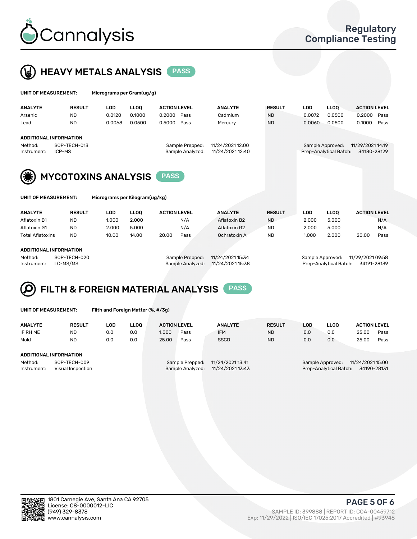



|      |                                                        | UNIT OF MEASUREMENT:       | Micrograms per Gram(ug/g) |                 |                     |                  |                  |                                      |            |                        |                     |      |
|------|--------------------------------------------------------|----------------------------|---------------------------|-----------------|---------------------|------------------|------------------|--------------------------------------|------------|------------------------|---------------------|------|
|      | <b>ANALYTE</b>                                         | <b>RESULT</b>              | <b>LOD</b>                | <b>LLOO</b>     | <b>ACTION LEVEL</b> |                  | <b>ANALYTE</b>   | <b>RESULT</b>                        | <b>LOD</b> | <b>LLOO</b>            | <b>ACTION LEVEL</b> |      |
|      | Arsenic                                                | <b>ND</b>                  | 0.0120                    | 0.1000          | 0.2000              | Pass             | Cadmium          | <b>ND</b>                            | 0.0072     | 0.0500                 | 0.2000              | Pass |
| Lead |                                                        | <b>ND</b>                  | 0.0068                    | 0.0500          | 0.5000              | Pass             | Mercury          | <b>ND</b>                            | 0.0060     | 0.0500                 | 0.1000              | Pass |
|      |                                                        | ADDITIONAL INFORMATION     |                           |                 |                     |                  |                  |                                      |            |                        |                     |      |
|      | SOP-TECH-013<br>Method:                                |                            |                           | Sample Prepped: |                     | 11/24/2021 12:00 |                  | 11/29/2021 14:19<br>Sample Approved: |            |                        |                     |      |
|      | Instrument:                                            | ICP-MS                     |                           |                 |                     | Sample Analyzed: | 11/24/2021 12:40 |                                      |            | Prep-Analytical Batch: | 34180-28129         |      |
|      | (纂)                                                    | <b>MYCOTOXINS ANALYSIS</b> |                           |                 |                     |                  |                  |                                      |            |                        |                     |      |
|      | UNIT OF MEASUREMENT:<br>Micrograms per Kilogram(ug/kg) |                            |                           |                 |                     |                  |                  |                                      |            |                        |                     |      |

| <b>ANALYTE</b>         | <b>RESULT</b> | LOD   | <b>LLOO</b> | <b>ACTION LEVEL</b> |      | <b>ANALYTE</b> | <b>RESULT</b> | LOD   | <b>LLOO</b> | <b>ACTION LEVEL</b> |      |
|------------------------|---------------|-------|-------------|---------------------|------|----------------|---------------|-------|-------------|---------------------|------|
| Aflatoxin B1           | <b>ND</b>     | 1.000 | 2.000       |                     | N/A  | Aflatoxin B2   | <b>ND</b>     | 2.000 | 5.000       |                     | N/A  |
| Aflatoxin G1           | ND            | 2.000 | 5.000       |                     | N/A  | Aflatoxin G2   | <b>ND</b>     | 2.000 | 5.000       |                     | N/A  |
| Total Aflatoxins       | <b>ND</b>     | 10.00 | 14.00       | 20.00               | Pass | Ochratoxin A   | <b>ND</b>     | 1.000 | 2.000       | 20.00               | Pass |
|                        |               |       |             |                     |      |                |               |       |             |                     |      |
| ADDITIONAL INFORMATION |               |       |             |                     |      |                |               |       |             |                     |      |
|                        |               |       |             |                     |      |                |               |       |             |                     |      |

Method: SOP-TECH-020 Sample Prepped: 11/24/2021 15:34 Sample Approved: 11/29/2021 09:58 Instrument: LC-MS/MS Sample Analyzed: 11/24/2021 15:38 Prep-Analytical Batch: 34191-28139



UNIT OF MEASUREMENT: Filth and Foreign Matter (%, #/3g)

| <b>ANALYTE</b>                                              | <b>RESULT</b> | LOD | <b>LLOO</b> | <b>ACTION LEVEL</b> |                                     | <b>ANALYTE</b>                       | <b>RESULT</b> | LOD | LLOO                                       | <b>ACTION LEVEL</b>             |      |
|-------------------------------------------------------------|---------------|-----|-------------|---------------------|-------------------------------------|--------------------------------------|---------------|-----|--------------------------------------------|---------------------------------|------|
| IF RH ME                                                    | <b>ND</b>     | 0.0 | 0.0         | 1.000               | Pass                                | <b>IFM</b>                           | <b>ND</b>     | 0.0 | 0.0                                        | 25.00                           | Pass |
| Mold                                                        | <b>ND</b>     | 0.0 | 0.0         | 25.00               | Pass                                | <b>SSCD</b>                          | <b>ND</b>     | 0.0 | 0.0                                        | 25.00                           | Pass |
| ADDITIONAL INFORMATION                                      |               |     |             |                     |                                     |                                      |               |     |                                            |                                 |      |
| Method:<br>SOP-TECH-009<br>Visual Inspection<br>Instrument: |               |     |             |                     | Sample Prepped:<br>Sample Analyzed: | 11/24/2021 13:41<br>11/24/2021 13:43 |               |     | Sample Approved:<br>Prep-Analytical Batch: | 11/24/2021 15:00<br>34190-28131 |      |